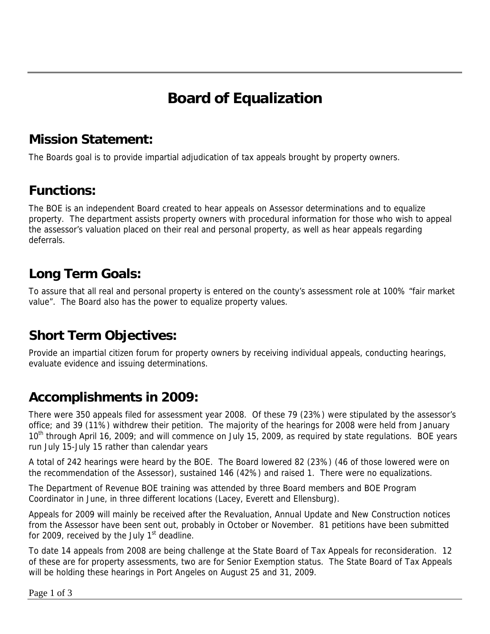# **Board of Equalization**

### **Mission Statement:**

The Boards goal is to provide impartial adjudication of tax appeals brought by property owners.

### **Functions:**

The BOE is an independent Board created to hear appeals on Assessor determinations and to equalize property. The department assists property owners with procedural information for those who wish to appeal the assessor's valuation placed on their real and personal property, as well as hear appeals regarding deferrals.

## **Long Term Goals:**

To assure that all real and personal property is entered on the county's assessment role at 100% "fair market value". The Board also has the power to equalize property values.

## **Short Term Objectives:**

Provide an impartial citizen forum for property owners by receiving individual appeals, conducting hearings, evaluate evidence and issuing determinations.

## **Accomplishments in 2009:**

There were 350 appeals filed for assessment year 2008. Of these 79 (23%) were stipulated by the assessor's office; and 39 (11%) withdrew their petition. The majority of the hearings for 2008 were held from January 10<sup>th</sup> through April 16, 2009; and will commence on July 15, 2009, as required by state regulations. BOE years run July 15-July 15 rather than calendar years

A total of 242 hearings were heard by the BOE. The Board lowered 82 (23%) (46 of those lowered were on the recommendation of the Assessor), sustained 146 (42%) and raised 1. There were no equalizations.

The Department of Revenue BOE training was attended by three Board members and BOE Program Coordinator in June, in three different locations (Lacey, Everett and Ellensburg).

Appeals for 2009 will mainly be received after the Revaluation, Annual Update and New Construction notices from the Assessor have been sent out, probably in October or November. 81 petitions have been submitted for 2009, received by the July  $1<sup>st</sup>$  deadline.

To date 14 appeals from 2008 are being challenge at the State Board of Tax Appeals for reconsideration. 12 of these are for property assessments, two are for Senior Exemption status. The State Board of Tax Appeals will be holding these hearings in Port Angeles on August 25 and 31, 2009.

Page 1 of 3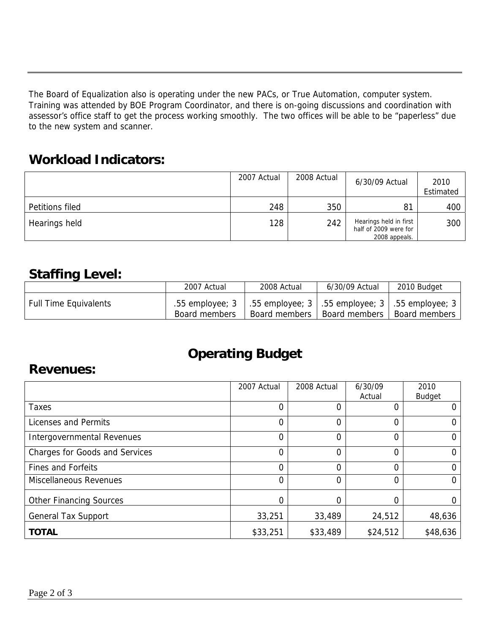The Board of Equalization also is operating under the new PACs, or True Automation, computer system. Training was attended by BOE Program Coordinator, and there is on-going discussions and coordination with assessor's office staff to get the process working smoothly. The two offices will be able to be "paperless" due to the new system and scanner.

#### **Workload Indicators:**

|                 | 2007 Actual | 2008 Actual | 6/30/09 Actual                                                   | 2010<br>Estimated |
|-----------------|-------------|-------------|------------------------------------------------------------------|-------------------|
| Petitions filed | 248         | 350         | 81                                                               | 400               |
| Hearings held   | 128         | 242         | Hearings held in first<br>half of 2009 were for<br>2008 appeals. | 300               |

### **Staffing Level:**

|                              | 2007 Actual                                                                              | 2008 Actual | 6/30/09 Actual                | 2010 Budget   |
|------------------------------|------------------------------------------------------------------------------------------|-------------|-------------------------------|---------------|
| <b>Full Time Equivalents</b> | .55 employee; 3   .55 employee; 3   .55 employee; 3   .55 employee; 3  <br>Board members |             | Board members   Board members | Board members |

## **Operating Budget**

#### **Revenues:**

|                                       | 2007 Actual | 2008 Actual | 6/30/09  | 2010          |
|---------------------------------------|-------------|-------------|----------|---------------|
|                                       |             |             | Actual   | <b>Budget</b> |
| <b>Taxes</b>                          | 0           | 0           |          |               |
| Licenses and Permits                  | 0           | 0           | 0        |               |
| Intergovernmental Revenues            | 0           | 0           | 0        |               |
| <b>Charges for Goods and Services</b> | $\Omega$    | 0           | 0        | 0             |
| <b>Fines and Forfeits</b>             | 0           | 0           | 0        | 0             |
| <b>Miscellaneous Revenues</b>         | 0           | 0           | 0        | 0             |
| <b>Other Financing Sources</b>        | 0           | 0           |          |               |
| <b>General Tax Support</b>            | 33,251      | 33,489      | 24,512   | 48,636        |
| <b>TOTAL</b>                          | \$33,251    | \$33,489    | \$24,512 | \$48,636      |